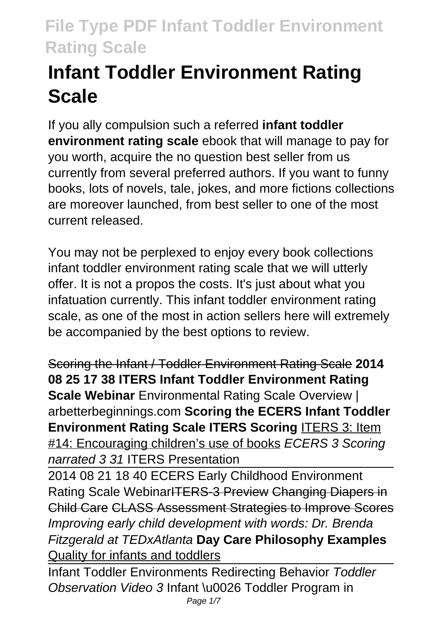# **Infant Toddler Environment Rating Scale**

If you ally compulsion such a referred **infant toddler environment rating scale** ebook that will manage to pay for you worth, acquire the no question best seller from us currently from several preferred authors. If you want to funny books, lots of novels, tale, jokes, and more fictions collections are moreover launched, from best seller to one of the most current released.

You may not be perplexed to enjoy every book collections infant toddler environment rating scale that we will utterly offer. It is not a propos the costs. It's just about what you infatuation currently. This infant toddler environment rating scale, as one of the most in action sellers here will extremely be accompanied by the best options to review.

Scoring the Infant / Toddler Environment Rating Scale **2014 08 25 17 38 ITERS Infant Toddler Environment Rating Scale Webinar** Environmental Rating Scale Overview | arbetterbeginnings.com **Scoring the ECERS Infant Toddler Environment Rating Scale ITERS Scoring** ITERS 3: Item #14: Encouraging children's use of books ECERS 3 Scoring narrated 3 31 ITERS Presentation

2014 08 21 18 40 ECERS Early Childhood Environment Rating Scale WebinarITERS-3 Preview Changing Diapers in Child Care CLASS Assessment Strategies to Improve Scores Improving early child development with words: Dr. Brenda Fitzgerald at TEDxAtlanta **Day Care Philosophy Examples** Quality for infants and toddlers

Infant Toddler Environments Redirecting Behavior Toddler Observation Video 3 Infant \u0026 Toddler Program in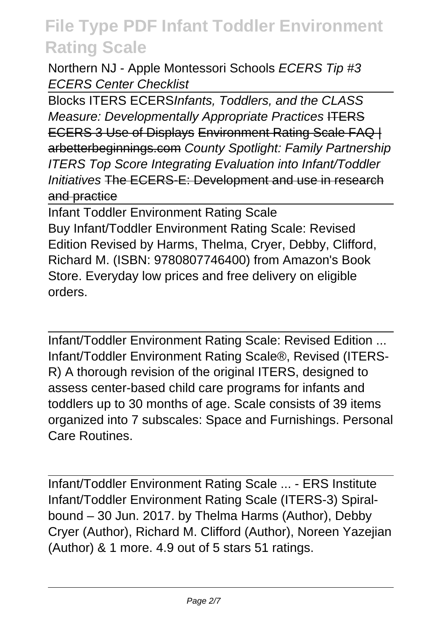Northern NJ - Apple Montessori Schools ECERS Tip #3 ECERS Center Checklist

Blocks ITERS ECERSInfants, Toddlers, and the CLASS Measure: Developmentally Appropriate Practices ITERS ECERS 3 Use of Displays Environment Rating Scale FAQ | arbetterbeginnings.com County Spotlight: Family Partnership ITERS Top Score Integrating Evaluation into Infant/Toddler Initiatives The ECERS-E: Development and use in research and practice

Infant Toddler Environment Rating Scale Buy Infant/Toddler Environment Rating Scale: Revised Edition Revised by Harms, Thelma, Cryer, Debby, Clifford, Richard M. (ISBN: 9780807746400) from Amazon's Book Store. Everyday low prices and free delivery on eligible orders.

Infant/Toddler Environment Rating Scale: Revised Edition ... Infant/Toddler Environment Rating Scale®, Revised (ITERS-R) A thorough revision of the original ITERS, designed to assess center-based child care programs for infants and toddlers up to 30 months of age. Scale consists of 39 items organized into 7 subscales: Space and Furnishings. Personal Care Routines.

Infant/Toddler Environment Rating Scale ... - ERS Institute Infant/Toddler Environment Rating Scale (ITERS-3) Spiralbound – 30 Jun. 2017. by Thelma Harms (Author), Debby Cryer (Author), Richard M. Clifford (Author), Noreen Yazejian (Author) & 1 more. 4.9 out of 5 stars 51 ratings.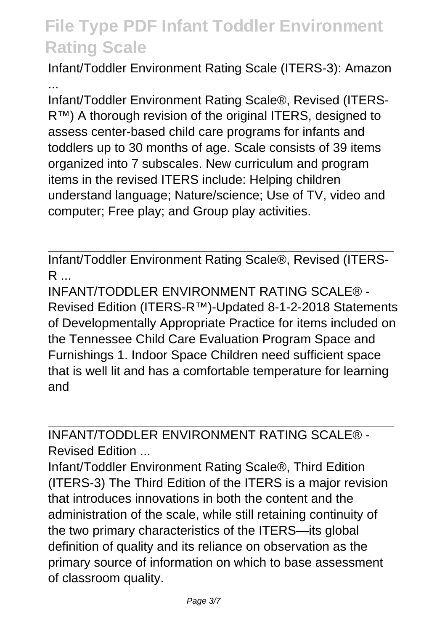Infant/Toddler Environment Rating Scale (ITERS-3): Amazon ...

Infant/Toddler Environment Rating Scale®, Revised (ITERS-R™) A thorough revision of the original ITERS, designed to assess center-based child care programs for infants and toddlers up to 30 months of age. Scale consists of 39 items organized into 7 subscales. New curriculum and program items in the revised ITERS include: Helping children understand language; Nature/science; Use of TV, video and computer; Free play; and Group play activities.

Infant/Toddler Environment Rating Scale®, Revised (ITERS- $R$ 

INFANT/TODDLER ENVIRONMENT RATING SCALE® - Revised Edition (ITERS-R™)-Updated 8-1-2-2018 Statements of Developmentally Appropriate Practice for items included on the Tennessee Child Care Evaluation Program Space and Furnishings 1. Indoor Space Children need sufficient space that is well lit and has a comfortable temperature for learning and

INFANT/TODDLER ENVIRONMENT RATING SCALE® - Revised Edition ...

Infant/Toddler Environment Rating Scale®, Third Edition (ITERS-3) The Third Edition of the ITERS is a major revision that introduces innovations in both the content and the administration of the scale, while still retaining continuity of the two primary characteristics of the ITERS—its global definition of quality and its reliance on observation as the primary source of information on which to base assessment of classroom quality.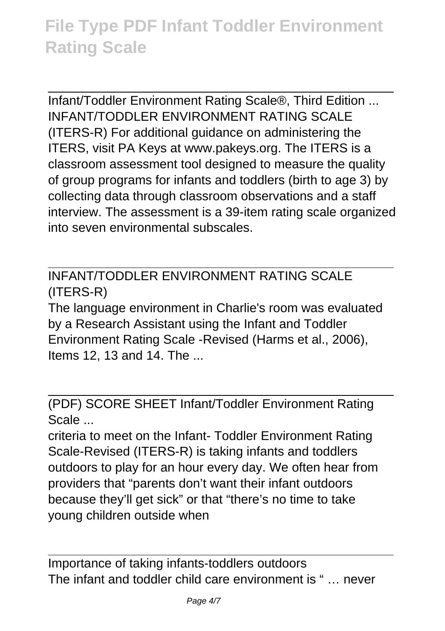Infant/Toddler Environment Rating Scale®, Third Edition ... INFANT/TODDLER ENVIRONMENT RATING SCALE (ITERS-R) For additional guidance on administering the ITERS, visit PA Keys at www.pakeys.org. The ITERS is a classroom assessment tool designed to measure the quality of group programs for infants and toddlers (birth to age 3) by collecting data through classroom observations and a staff interview. The assessment is a 39-item rating scale organized into seven environmental subscales.

INFANT/TODDLER ENVIRONMENT RATING SCALE (ITERS-R)

The language environment in Charlie's room was evaluated by a Research Assistant using the Infant and Toddler Environment Rating Scale -Revised (Harms et al., 2006), Items 12, 13 and 14. The ...

(PDF) SCORE SHEET Infant/Toddler Environment Rating Scale ...

criteria to meet on the Infant- Toddler Environment Rating Scale-Revised (ITERS-R) is taking infants and toddlers outdoors to play for an hour every day. We often hear from providers that "parents don't want their infant outdoors because they'll get sick" or that "there's no time to take young children outside when

Importance of taking infants-toddlers outdoors The infant and toddler child care environment is " … never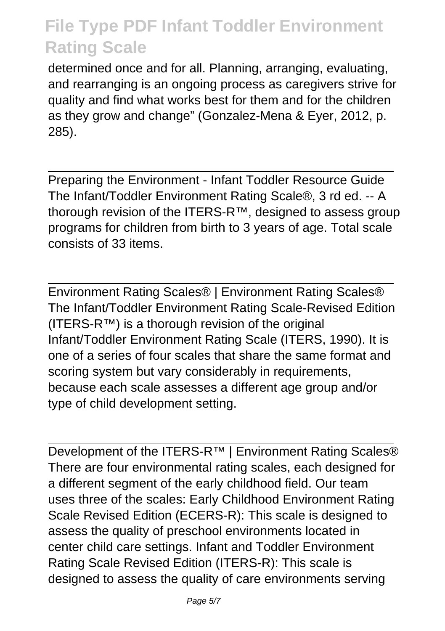determined once and for all. Planning, arranging, evaluating, and rearranging is an ongoing process as caregivers strive for quality and find what works best for them and for the children as they grow and change" (Gonzalez-Mena & Eyer, 2012, p. 285).

Preparing the Environment - Infant Toddler Resource Guide The Infant/Toddler Environment Rating Scale®, 3 rd ed. -- A thorough revision of the ITERS-R™, designed to assess group programs for children from birth to 3 years of age. Total scale consists of 33 items.

Environment Rating Scales® | Environment Rating Scales® The Infant/Toddler Environment Rating Scale-Revised Edition  $(ITERS-R<sup>TM</sup>)$  is a thorough revision of the original Infant/Toddler Environment Rating Scale (ITERS, 1990). It is one of a series of four scales that share the same format and scoring system but vary considerably in requirements, because each scale assesses a different age group and/or type of child development setting.

Development of the ITERS-R<sup>™</sup> | Environment Rating Scales<sup>®</sup> There are four environmental rating scales, each designed for a different segment of the early childhood field. Our team uses three of the scales: Early Childhood Environment Rating Scale Revised Edition (ECERS-R): This scale is designed to assess the quality of preschool environments located in center child care settings. Infant and Toddler Environment Rating Scale Revised Edition (ITERS-R): This scale is designed to assess the quality of care environments serving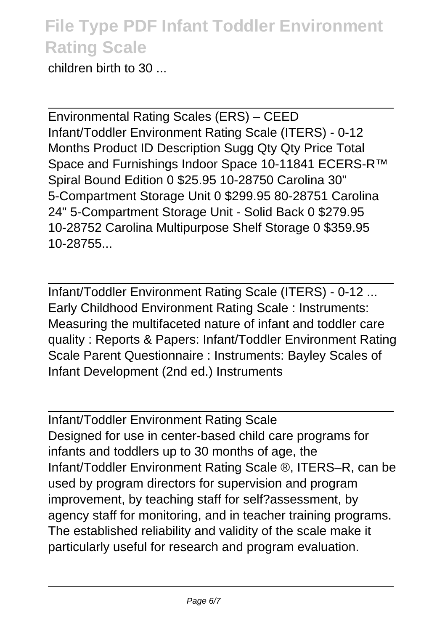children birth to 30 ...

Environmental Rating Scales (ERS) – CEED Infant/Toddler Environment Rating Scale (ITERS) - 0-12 Months Product ID Description Sugg Qty Qty Price Total Space and Furnishings Indoor Space 10-11841 ECERS-R™ Spiral Bound Edition 0 \$25.95 10-28750 Carolina 30" 5-Compartment Storage Unit 0 \$299.95 80-28751 Carolina 24" 5-Compartment Storage Unit - Solid Back 0 \$279.95 10-28752 Carolina Multipurpose Shelf Storage 0 \$359.95 10-28755...

Infant/Toddler Environment Rating Scale (ITERS) - 0-12 ... Early Childhood Environment Rating Scale : Instruments: Measuring the multifaceted nature of infant and toddler care quality : Reports & Papers: Infant/Toddler Environment Rating Scale Parent Questionnaire : Instruments: Bayley Scales of Infant Development (2nd ed.) Instruments

Infant/Toddler Environment Rating Scale Designed for use in center-based child care programs for infants and toddlers up to 30 months of age, the Infant/Toddler Environment Rating Scale ®, ITERS–R, can be used by program directors for supervision and program improvement, by teaching staff for self?assessment, by agency staff for monitoring, and in teacher training programs. The established reliability and validity of the scale make it particularly useful for research and program evaluation.